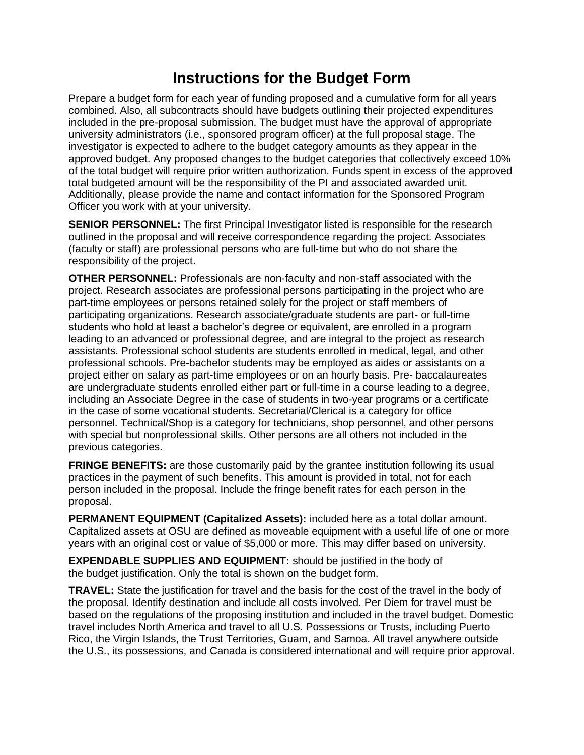## **Instructions for the Budget Form**

Prepare a budget form for each year of funding proposed and a cumulative form for all years combined. Also, all subcontracts should have budgets outlining their projected expenditures included in the pre-proposal submission. The budget must have the approval of appropriate university administrators (i.e., sponsored program officer) at the full proposal stage. The investigator is expected to adhere to the budget category amounts as they appear in the approved budget. Any proposed changes to the budget categories that collectively exceed 10% of the total budget will require prior written authorization. Funds spent in excess of the approved total budgeted amount will be the responsibility of the PI and associated awarded unit. Additionally, please provide the name and contact information for the Sponsored Program Officer you work with at your university.

**SENIOR PERSONNEL:** The first Principal Investigator listed is responsible for the research outlined in the proposal and will receive correspondence regarding the project. Associates (faculty or staff) are professional persons who are full-time but who do not share the responsibility of the project.

**OTHER PERSONNEL:** Professionals are non-faculty and non-staff associated with the project. Research associates are professional persons participating in the project who are part-time employees or persons retained solely for the project or staff members of participating organizations. Research associate/graduate students are part- or full-time students who hold at least a bachelor's degree or equivalent, are enrolled in a program leading to an advanced or professional degree, and are integral to the project as research assistants. Professional school students are students enrolled in medical, legal, and other professional schools. Pre-bachelor students may be employed as aides or assistants on a project either on salary as part-time employees or on an hourly basis. Pre- baccalaureates are undergraduate students enrolled either part or full-time in a course leading to a degree, including an Associate Degree in the case of students in two-year programs or a certificate in the case of some vocational students. Secretarial/Clerical is a category for office personnel. Technical/Shop is a category for technicians, shop personnel, and other persons with special but nonprofessional skills. Other persons are all others not included in the previous categories.

**FRINGE BENEFITS:** are those customarily paid by the grantee institution following its usual practices in the payment of such benefits. This amount is provided in total, not for each person included in the proposal. Include the fringe benefit rates for each person in the proposal.

**PERMANENT EQUIPMENT (Capitalized Assets):** included here as a total dollar amount. Capitalized assets at OSU are defined as moveable equipment with a useful life of one or more years with an original cost or value of \$5,000 or more. This may differ based on university.

**EXPENDABLE SUPPLIES AND EQUIPMENT:** should be justified in the body of the budget justification. Only the total is shown on the budget form.

**TRAVEL:** State the justification for travel and the basis for the cost of the travel in the body of the proposal. Identify destination and include all costs involved. Per Diem for travel must be based on the regulations of the proposing institution and included in the travel budget. Domestic travel includes North America and travel to all U.S. Possessions or Trusts, including Puerto Rico, the Virgin Islands, the Trust Territories, Guam, and Samoa. All travel anywhere outside the U.S., its possessions, and Canada is considered international and will require prior approval.